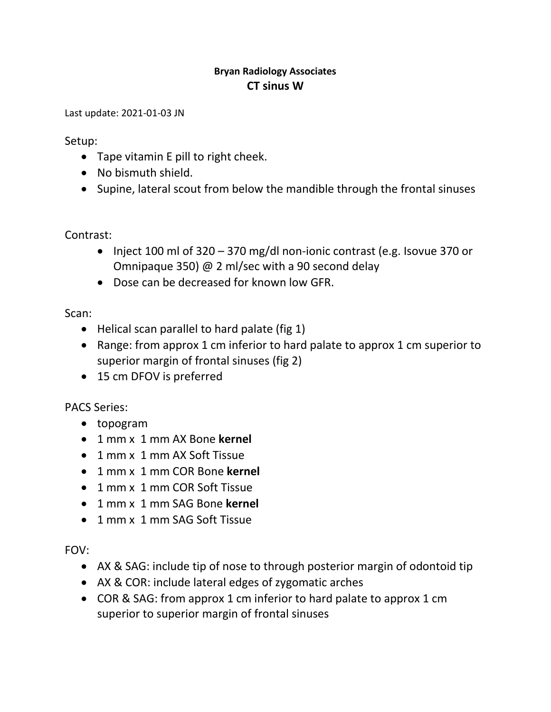## **Bryan Radiology Associates CT sinus W**

Last update: 2021-01-03 JN

Setup:

- Tape vitamin E pill to right cheek.
- No bismuth shield.
- Supine, lateral scout from below the mandible through the frontal sinuses

Contrast:

- Inject 100 ml of  $320 370$  mg/dl non-ionic contrast (e.g. Isovue 370 or Omnipaque 350) @ 2 ml/sec with a 90 second delay
- Dose can be decreased for known low GFR.

Scan:

- Helical scan parallel to hard palate (fig 1)
- Range: from approx 1 cm inferior to hard palate to approx 1 cm superior to superior margin of frontal sinuses (fig 2)
- 15 cm DFOV is preferred

PACS Series:

- topogram
- 1 mm x 1 mm AX Bone **kernel**
- 1 mm x 1 mm AX Soft Tissue
- 1 mm x 1 mm COR Bone **kernel**
- 1 mm x 1 mm COR Soft Tissue
- 1 mm x 1 mm SAG Bone **kernel**
- 1 mm x 1 mm SAG Soft Tissue

FOV:

- AX & SAG: include tip of nose to through posterior margin of odontoid tip
- AX & COR: include lateral edges of zygomatic arches
- COR & SAG: from approx 1 cm inferior to hard palate to approx 1 cm superior to superior margin of frontal sinuses